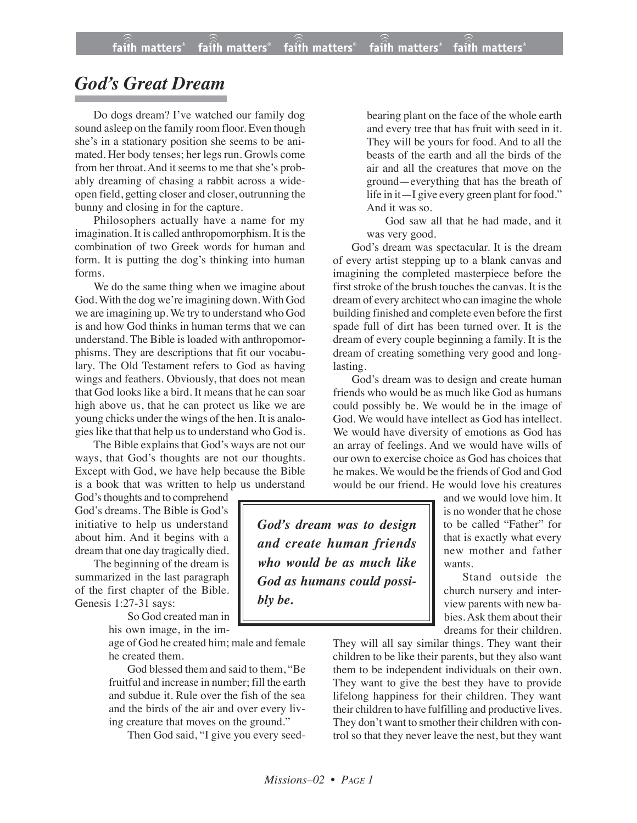## *God's Great Dream*

Do dogs dream? I've watched our family dog sound asleep on the family room floor. Even though she's in a stationary position she seems to be animated. Her body tenses; her legs run. Growls come from her throat. And it seems to me that she's probably dreaming of chasing a rabbit across a wideopen field, getting closer and closer, outrunning the bunny and closing in for the capture.

Philosophers actually have a name for my imagination. It is called anthropomorphism. It is the combination of two Greek words for human and form. It is putting the dog's thinking into human forms.

We do the same thing when we imagine about God. With the dog we're imagining down. With God we are imagining up. We try to understand who God is and how God thinks in human terms that we can understand. The Bible is loaded with anthropomorphisms. They are descriptions that fit our vocabulary. The Old Testament refers to God as having wings and feathers. Obviously, that does not mean that God looks like a bird. It means that he can soar high above us, that he can protect us like we are young chicks under the wings of the hen. It is analogies like that that help us to understand who God is.

The Bible explains that God's ways are not our ways, that God's thoughts are not our thoughts. Except with God, we have help because the Bible is a book that was written to help us understand

God's thoughts and to comprehend God's dreams. The Bible is God's initiative to help us understand about him. And it begins with a dream that one day tragically died.

The beginning of the dream is summarized in the last paragraph of the first chapter of the Bible. Genesis 1:27-31 says:

> So God created man in his own image, in the im-

age of God he created him; male and female he created them.

God blessed them and said to them, "Be fruitful and increase in number; fill the earth and subdue it. Rule over the fish of the sea and the birds of the air and over every living creature that moves on the ground."

Then God said, "I give you every seed-

bearing plant on the face of the whole earth and every tree that has fruit with seed in it. They will be yours for food. And to all the beasts of the earth and all the birds of the air and all the creatures that move on the ground—everything that has the breath of life in it—I give every green plant for food." And it was so.

God saw all that he had made, and it was very good.

God's dream was spectacular. It is the dream of every artist stepping up to a blank canvas and imagining the completed masterpiece before the first stroke of the brush touches the canvas. It is the dream of every architect who can imagine the whole building finished and complete even before the first spade full of dirt has been turned over. It is the dream of every couple beginning a family. It is the dream of creating something very good and longlasting.

God's dream was to design and create human friends who would be as much like God as humans could possibly be. We would be in the image of God. We would have intellect as God has intellect. We would have diversity of emotions as God has an array of feelings. And we would have wills of our own to exercise choice as God has choices that he makes. We would be the friends of God and God would be our friend. He would love his creatures

*God's dream was to design and create human friends who would be as much like God as humans could possibly be.*

and we would love him. It is no wonder that he chose to be called "Father" for that is exactly what every new mother and father wants.

Stand outside the church nursery and interview parents with new babies. Ask them about their dreams for their children.

They will all say similar things. They want their children to be like their parents, but they also want them to be independent individuals on their own. They want to give the best they have to provide lifelong happiness for their children. They want their children to have fulfilling and productive lives. They don't want to smother their children with control so that they never leave the nest, but they want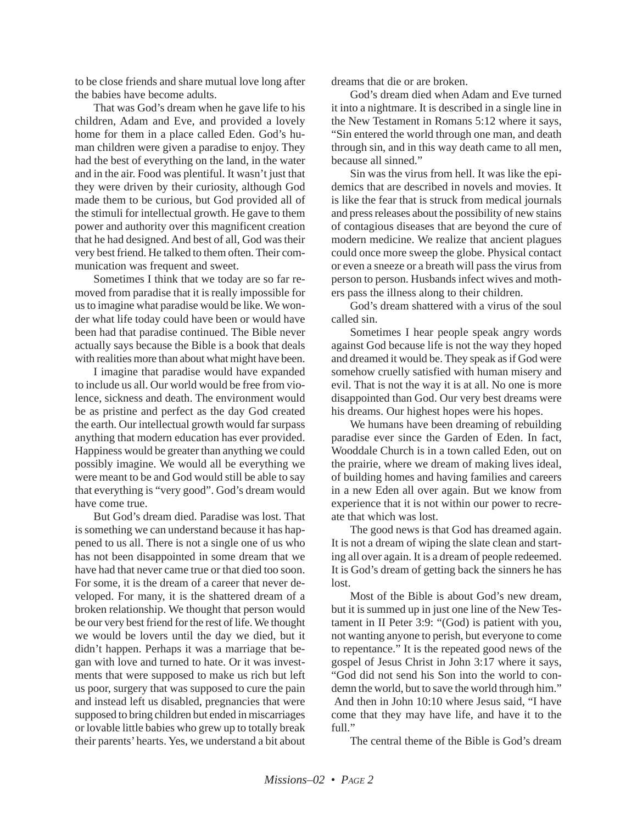to be close friends and share mutual love long after the babies have become adults.

That was God's dream when he gave life to his children, Adam and Eve, and provided a lovely home for them in a place called Eden. God's human children were given a paradise to enjoy. They had the best of everything on the land, in the water and in the air. Food was plentiful. It wasn't just that they were driven by their curiosity, although God made them to be curious, but God provided all of the stimuli for intellectual growth. He gave to them power and authority over this magnificent creation that he had designed. And best of all, God was their very best friend. He talked to them often. Their communication was frequent and sweet.

Sometimes I think that we today are so far removed from paradise that it is really impossible for us to imagine what paradise would be like. We wonder what life today could have been or would have been had that paradise continued. The Bible never actually says because the Bible is a book that deals with realities more than about what might have been.

I imagine that paradise would have expanded to include us all. Our world would be free from violence, sickness and death. The environment would be as pristine and perfect as the day God created the earth. Our intellectual growth would far surpass anything that modern education has ever provided. Happiness would be greater than anything we could possibly imagine. We would all be everything we were meant to be and God would still be able to say that everything is "very good". God's dream would have come true.

But God's dream died. Paradise was lost. That is something we can understand because it has happened to us all. There is not a single one of us who has not been disappointed in some dream that we have had that never came true or that died too soon. For some, it is the dream of a career that never developed. For many, it is the shattered dream of a broken relationship. We thought that person would be our very best friend for the rest of life. We thought we would be lovers until the day we died, but it didn't happen. Perhaps it was a marriage that began with love and turned to hate. Or it was investments that were supposed to make us rich but left us poor, surgery that was supposed to cure the pain and instead left us disabled, pregnancies that were supposed to bring children but ended in miscarriages or lovable little babies who grew up to totally break their parents' hearts. Yes, we understand a bit about dreams that die or are broken.

God's dream died when Adam and Eve turned it into a nightmare. It is described in a single line in the New Testament in Romans 5:12 where it says, "Sin entered the world through one man, and death through sin, and in this way death came to all men, because all sinned."

Sin was the virus from hell. It was like the epidemics that are described in novels and movies. It is like the fear that is struck from medical journals and press releases about the possibility of new stains of contagious diseases that are beyond the cure of modern medicine. We realize that ancient plagues could once more sweep the globe. Physical contact or even a sneeze or a breath will pass the virus from person to person. Husbands infect wives and mothers pass the illness along to their children.

God's dream shattered with a virus of the soul called sin.

Sometimes I hear people speak angry words against God because life is not the way they hoped and dreamed it would be. They speak as if God were somehow cruelly satisfied with human misery and evil. That is not the way it is at all. No one is more disappointed than God. Our very best dreams were his dreams. Our highest hopes were his hopes.

We humans have been dreaming of rebuilding paradise ever since the Garden of Eden. In fact, Wooddale Church is in a town called Eden, out on the prairie, where we dream of making lives ideal, of building homes and having families and careers in a new Eden all over again. But we know from experience that it is not within our power to recreate that which was lost.

The good news is that God has dreamed again. It is not a dream of wiping the slate clean and starting all over again. It is a dream of people redeemed. It is God's dream of getting back the sinners he has lost.

Most of the Bible is about God's new dream, but it is summed up in just one line of the New Testament in II Peter 3:9: "(God) is patient with you, not wanting anyone to perish, but everyone to come to repentance." It is the repeated good news of the gospel of Jesus Christ in John 3:17 where it says, "God did not send his Son into the world to condemn the world, but to save the world through him." And then in John 10:10 where Jesus said, "I have come that they may have life, and have it to the full."

The central theme of the Bible is God's dream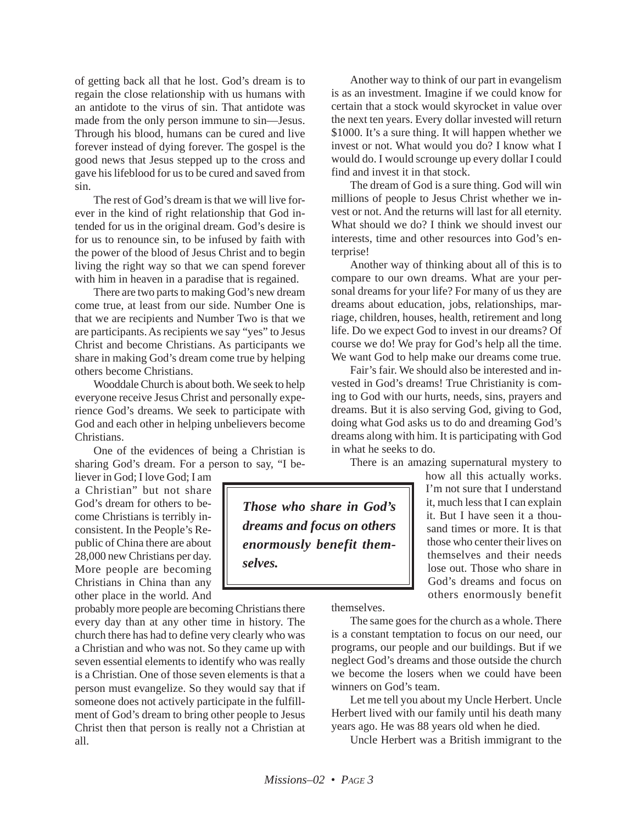of getting back all that he lost. God's dream is to regain the close relationship with us humans with an antidote to the virus of sin. That antidote was made from the only person immune to sin—Jesus. Through his blood, humans can be cured and live forever instead of dying forever. The gospel is the good news that Jesus stepped up to the cross and gave his lifeblood for us to be cured and saved from sin.

The rest of God's dream is that we will live forever in the kind of right relationship that God intended for us in the original dream. God's desire is for us to renounce sin, to be infused by faith with the power of the blood of Jesus Christ and to begin living the right way so that we can spend forever with him in heaven in a paradise that is regained.

There are two parts to making God's new dream come true, at least from our side. Number One is that we are recipients and Number Two is that we are participants. As recipients we say "yes" to Jesus Christ and become Christians. As participants we share in making God's dream come true by helping others become Christians.

Wooddale Church is about both. We seek to help everyone receive Jesus Christ and personally experience God's dreams. We seek to participate with God and each other in helping unbelievers become Christians.

One of the evidences of being a Christian is sharing God's dream. For a person to say, "I be-

*selves.*

liever in God; I love God; I am a Christian" but not share God's dream for others to become Christians is terribly inconsistent. In the People's Republic of China there are about 28,000 new Christians per day. More people are becoming Christians in China than any other place in the world. And

probably more people are becoming Christians there every day than at any other time in history. The church there has had to define very clearly who was a Christian and who was not. So they came up with seven essential elements to identify who was really is a Christian. One of those seven elements is that a person must evangelize. So they would say that if someone does not actively participate in the fulfillment of God's dream to bring other people to Jesus Christ then that person is really not a Christian at all.

Another way to think of our part in evangelism is as an investment. Imagine if we could know for certain that a stock would skyrocket in value over the next ten years. Every dollar invested will return \$1000. It's a sure thing. It will happen whether we invest or not. What would you do? I know what I would do. I would scrounge up every dollar I could find and invest it in that stock.

The dream of God is a sure thing. God will win millions of people to Jesus Christ whether we invest or not. And the returns will last for all eternity. What should we do? I think we should invest our interests, time and other resources into God's enterprise!

Another way of thinking about all of this is to compare to our own dreams. What are your personal dreams for your life? For many of us they are dreams about education, jobs, relationships, marriage, children, houses, health, retirement and long life. Do we expect God to invest in our dreams? Of course we do! We pray for God's help all the time. We want God to help make our dreams come true.

Fair's fair. We should also be interested and invested in God's dreams! True Christianity is coming to God with our hurts, needs, sins, prayers and dreams. But it is also serving God, giving to God, doing what God asks us to do and dreaming God's dreams along with him. It is participating with God in what he seeks to do.

There is an amazing supernatural mystery to

*Those who share in God's dreams and focus on others enormously benefit them-*

how all this actually works. I'm not sure that I understand it, much less that I can explain it. But I have seen it a thousand times or more. It is that those who center their lives on themselves and their needs lose out. Those who share in God's dreams and focus on others enormously benefit

themselves.

The same goes for the church as a whole. There is a constant temptation to focus on our need, our programs, our people and our buildings. But if we neglect God's dreams and those outside the church we become the losers when we could have been winners on God's team.

Let me tell you about my Uncle Herbert. Uncle Herbert lived with our family until his death many years ago. He was 88 years old when he died.

Uncle Herbert was a British immigrant to the